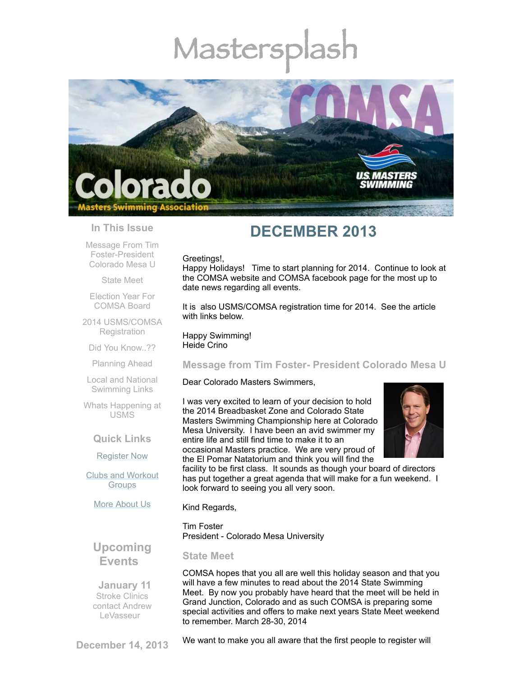# Mastersp



## **In This Issue**

Message From Tim [Foster-President](#page-0-0) Colorado Mesa U

[State](#page-0-1) Meet

Election Year For [COMSA](#page-1-0) Board

2014 [USMS/COMSA](#page-1-1) **Registration** 

Did You [Know..??](#page-1-2)

[Planning](#page-2-0) Ahead

Local and National [Swimming](#page-2-1) Links

Whats [Happening](#page-2-2) at USMS

## **Quick Links**

[Register](http://comsa.org/joining/index.html) Now

Clubs and [Workout](http://comsa.org/clubs/index.html) **Groups** 

More [About](http://comsa.org/) Us

## **DECEMBER 2013**

### Greetings!,

Happy Holidays! Time to start planning for 2014. Continue to look at the COMSA website and COMSA facebook page for the most up to date news regarding all events.

It is also USMS/COMSA registration time for 2014. See the article with links below.

Happy Swimming! Heide Crino

## <span id="page-0-0"></span>**Message from Tim Foster- President Colorado Mesa U**

Dear Colorado Masters Swimmers,

I was very excited to learn of your decision to hold the 2014 Breadbasket Zone and Colorado State Masters Swimming Championship here at Colorado Mesa University. I have been an avid swimmer my entire life and still find time to make it to an occasional Masters practice. We are very proud of the El Pomar Natatorium and think you will find the



facility to be first class. It sounds as though your board of directors has put together a great agenda that will make for a fun weekend. I look forward to seeing you all very soon.

Kind Regards,

Tim Foster President - Colorado Mesa University

**Upcoming Events**

 **January 11** Stroke Clinics contact Andrew [LeVasseur](mailto:swimmin4fun@msn.com)

<span id="page-0-1"></span>**State Meet**

COMSA hopes that you all are well this holiday season and that you will have a few minutes to read about the 2014 State Swimming Meet. By now you probably have heard that the meet will be held in Grand Junction, Colorado and as such COMSA is preparing some special activities and offers to make next years State Meet weekend to remember. March 28-30, 2014

**December 14, 2013**

We want to make you all aware that the first people to register will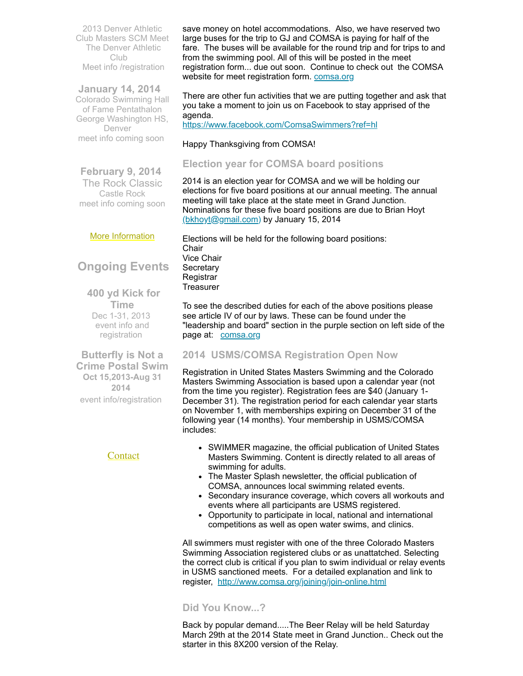2013 Denver Athletic Club Masters SCM Meet The Denver Athletic Club Meet info [/registration](http://www.comsa.org/events/2013%20pool/2013DACMastersMeetSheet.pdf)

**January 14, 2014**  Colorado Swimming Hall of Fame Pentathalon George Washington HS, Denver meet info coming soon

**February 9, 2014** The Rock Classic Castle Rock meet info coming soon

### More [Information](http://www.comsa.org/)

## **Ongoing Events**

**400 yd Kick for Time** Dec 1-31, 2013 event info and [registration](http://www.usms.org/comp/event.php?MeetID=20131201MEMO-1Y)

**Butterfly is Not a Crime Postal Swim Oct 15,2013-Aug 31 2014** event [info/registration](http://swimflyfast.com/)

## **[Contact](mailto:heidecrino@gmail.com?)**

save money on hotel accommodations. Also, we have reserved two large buses for the trip to GJ and COMSA is paying for half of the fare. The buses will be available for the round trip and for trips to and from the swimming pool. All of this will be posted in the meet registration form... due out soon. Continue to check out the COMSA website for meet registration form. [comsa.org](http://comsa.org/)

There are other fun activities that we are putting together and ask that you take a moment to join us on Facebook to stay apprised of the agenda.

<https://www.facebook.com/ComsaSwimmers?ref=hl>

## Happy Thanksgiving from COMSA!

## <span id="page-1-0"></span>**Election year for COMSA board positions**

2014 is an election year for COMSA and we will be holding our elections for five board positions at our annual meeting. The annual meeting will take place at the state meet in Grand Junction. Nominations for these five board positions are due to Brian Hoyt [\(bkhoyt@gmail.com](mailto:bkhoyt@gmail.com)) by January 15, 2014

Elections will be held for the following board positions: Chair Vice Chair **Secretary** Registrar **Treasurer** 

To see the described duties for each of the above positions please see article IV of our by laws. These can be found under the "leadership and board" section in the purple section on left side of the page at: [comsa.org](http://comsa.org/)

## <span id="page-1-1"></span>**2014 USMS/COMSA Registration Open Now**

Registration in United States Masters Swimming and the Colorado Masters Swimming Association is based upon a calendar year (not from the time you register). Registration fees are \$40 (January 1- December 31). The registration period for each calendar year starts on November 1, with memberships expiring on December 31 of the following year (14 months). Your membership in USMS/COMSA includes:

- SWIMMER magazine, the official publication of United States Masters Swimming. Content is directly related to all areas of swimming for adults.
- The Master Splash newsletter, the official publication of COMSA, announces local swimming related events.
- Secondary insurance coverage, which covers all workouts and events where all participants are USMS registered.
- Opportunity to participate in local, national and international competitions as well as open water swims, and clinics.

All swimmers must register with one of the three Colorado Masters Swimming Association registered clubs or as unattatched. Selecting the correct club is critical if you plan to swim individual or relay events in USMS sanctioned meets. For a detailed explanation and link to register, <http://www.comsa.org/joining/join-online.html>

## <span id="page-1-2"></span>**Did You Know...?**

Back by popular demand.....The Beer Relay will be held Saturday March 29th at the 2014 State meet in Grand Junction.. Check out the starter in this 8X200 version of the Relay.